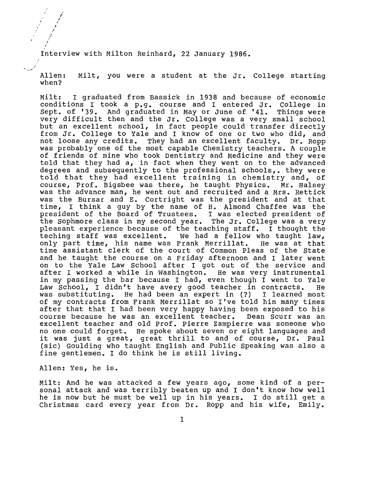Interview with Milton Reinhard, 22 January 1986.

Allen: when? Milt, you were a student at the Jr. College starting

Milt: I graduated from Bassick in 1938 and because of economic conditions I took a p.g. course and I entered Jr. College in<br>Sept. of '39. And graduated in May or June of '41. Things were Sept. of '39. And graduated in May or June of '41. very difficult then and the Jr. College was a very small school but an excellent school, in fact people could transfer directly from Jr. College to Yale and I know of one or two who did, and not loose any credits. They had an excellent faculty. Dr. Ropp was probably one of the most capable Chemistry teachers. A couple of friends of mine who took Dentistry and Medicine and they were told that they had a, in fact when they went on to the advanced degrees and subsequently to the professional schools,. they were told that they had excellent training in chemistry and, of course, Prof. Bigsbee was there, he taught Physics. Mr. Halsey was the advance man, he went out and recruited and a Mrs. Rettick was the Bursar and E. Cortright was the president and at that time, I think a guy by the name of H. Almond Chaffee was the president of the Board of Trustees. I was elected president of the sophmore class in my second year. The Jr. College was a very pleasant experience because of the teaching staff. I thought the teching staff was excellent. We had a fellow who taught law,<br>only part time, his name was Frank Merrillat. He was at that only part time, his name was Frank Merrillat. time assistant clerk of the court of Common Pleas of the State and he taught the course on a Friday afternoon and I later went on to the Yale Law School after I got out of the service and after I worked a while in Washington. He was very instrumental in my passing the bar because I had, even though I went to Yale Law School, I didn't have avery good teacher in contracts. He<br>was substituting. He had been an expert in (?) I learned most He had been an expert in (?) I learned most of my contracts from Frank Merrillat so I've told him many times after that that I had been very happy having been exposed to his course because he was an excellent teacher. Dean scurr was an excellent teacher and old Prof. Pierre zampierre was someone who no one could forget. He spoke about seven or eight languages and it was just a great, great thrill to and of course, Dr. Paul (sic) Goulding who taught English and Public Speaking was also a fine gentlemen. I do think he is still living.

Allen: Yes, he is.

Milt: And he was attacked a few years ago, some kind of a personal attack and was terribly beaten up and I don't know how well he is now but he must be well up in his years. I do still get a Christmas card every year from Dr. Ropp and his wife, Emily.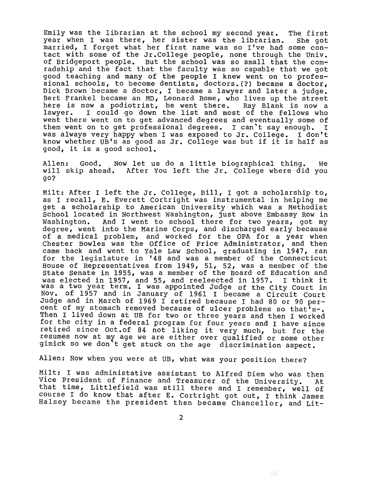Emily was the librarian at the school my second year. The first<br>year when I was there, her sister was the librarian. She got year when I was there, her sister was the librarian. married, I forget what her first name was so I've had some contact with some of the Jr.College people, none through the Univ. of Bridgeport people. But the school was so small that the comradship and the fact that the faculty was so capable that we got good teaching and many of the people I knew went on to profess ional schools, to become dentists, doctors.(?) became a doctor, Dick Brown became a doctor, I became a lawyer and later a judge. Bert Frankel became an MD, Leonard Rome, who lives up the street here is now a podiotrist, he went there. Ray Blank is now a here is now a pourocrise, he went there. Kay brank is now a went there went on to get advanced degrees and eventually some of them went on to get professional degrees. I can't say enough. I was always very happy when I was exposed to Jr. College. I don't know whether UB's as good as Jr. College was but if it is half as good, it is a good school.

Allen: Good. Now let us do a little biographical thing. we will skip ahead. After You left the Jr. College where did you go?

Milt: After I left the Jr. College, Bill, I got a scholarship to, as I recall, E. Everett Cortright was instrumental in helping me get a scholarship to American University which was a Methodist School located in Northwest Washington, just above Embassy Row in<br>Washington. And I went to school there for two vears, got my And I went to school there for two years, got my degree, went into the Marine Corps, and discharged early because of a medical problem, and worked for the OPA for a year when Chester Bowles was the Office of Price Administrator, and then came back and went to Yale Law School, graduating in 1947, ran for the legislature in '48 and was a member of the Connecticut House of Representatives from 1949, 51, 52, was a member of the State Senate in 1955, was a member of the Board of Education and state senate in 1955, was a member of the Board of Education and<br>was elected in 1957, and 55, and reeleected in 1957. I think it was a two year term. I was appointed Judge of the City Court in Nov. of 1957 and in January of 1961 I became a Circuit Court Judge and in March of 1969 I retired because I had 80 or 90 percent of my stomach removed because of ulcer problems so that's-. Then I lived down at UB for two or three years and then I worked for the city in a federal program for four years and I have since retired since Oct.of 84 not liking it very much, but for the resumes now at my age we are either over qualified or some other gimick so we don't get stuck on the age discrimination aspect.

Allen: Now when you were at UB, what was your position there?

Milt: I was administative assistant to Alfred Diem who was then Vice President of Finance and Treasurer of the university. At that time, Littlefield was still there and I remember, well of course I do know that after E. Cortright got out, I think James Halsey became the president then became Chancellor, and Lit-

塚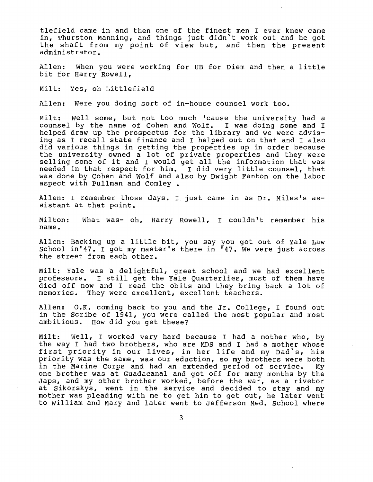tlef ield came in and then one of the finest men I ever knew came in, Thurston Manning, and things just didn't work out and he got the shaft from my point of view but, and then the present administrator.

Allen: When you were working for UB for Diem and then a little bit for Harry Rowell,

Milt: Yes, oh Littlefield

Allen: Were you doing sort of in-house counsel work too.

Milt: Well some, but not too much 'cause the university had a counsel by the name of Cohen and wolf. I was doing some and I helped draw up the prospectus for the library and we were advising as I recall state finance and I helped out on that and I also did various things in getting the properties up in order because the university owned a lot of private properties and they were ene university owned a for of private properties and they were<br>selling some of it and I would get all the information that was needed in that respect for him. I did very little counsel, that was done by Cohen and Wolf and also by Dwight Fanton on the labor aspect with Pullman and Comley.

Allen: I remember those days. I just came in as Dr. Miles's assistant at that point.

Milton: name. What was- oh, Harry Rowell, I couldn't remember his

Allen: Backing up a little bit, you say you got out of Yale Law School in'47. I got my master's there in '47. We were just across the street from each other.

Milt: Yale was a delightful, great school and we had excellent professors. I still get the Yale Quarterlies, most of them have died off now and I read the obits and they bring back a lot of memories. They were excellent, excellent teachers.

Allen: O.K. coming back to you and the Jr. College, I found out in the Scribe of 1941, you were called the most popular and most ambitious. How did you get these? How did you get these?

Milt: well, I worked very hard because I had a mother who, by the way I had two brothers, who are MDS and I had a mother whose first priority in our lives, in her life and my Dad's, his priority was the same, was our eduction, so my brothers were both<br>in the Marine Corps and had an extended period of service. My in the Marine Corps and had an extended period of service. one brother was at Guadacanal and got off for many months by the Japs, and my other brother worked, before the war, as a rivetor at Sikorskys, went in the service and decided to stay and my mother was pleading with me to get him to get out, he later went to William and Mary and later went to Jefferson Med. school where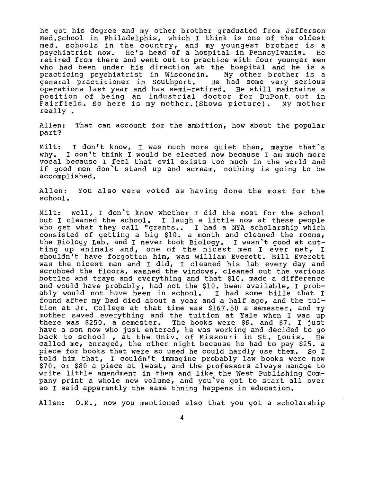he got his degree and my other brother graduated from Jefferson Med.School in Philadelphis, which I think is one of the oldest med. schools in the country, and my youngest brother is a<br>psychiatrist now. He's head of a hospital in Pennsylvania. He psychiatrist now. He's head of a hospital in Pennsylvania. retired from there and went out to practice with four younger men who had been under his direction at the hospital and he is a practicing psychiatrist in Wisconsin. My other brother is a practicing psychiatrist in Wisconsin. My other brother is a<br>general practitioner in Southport. He had some very serious general practitioner in Southport. operations last year and has semi-retired. He still maintains a position of being an industrial doctor for DuPont, out in Fairfield. So here is my mother.(Shows picture). My mother really.

Allen: That can account for the ambition, how about the popular part?

Milt: I don't know, I was much more quiet then, maybe that's why. I don't think I would be elected now because I am much more vocal because I feel that evil exists too much in the world and if good men don't stand up and scream, nothing is going to be accomplished.

Allen: You also were voted as having done the most for the school.

Milt: Well, I don't know whether I did the most for the school but I cleaned the school. I laugh a little now at these people who get what they call "grants.. I had a NYA scholarship which consisted of getting a big \$10. a month and cleaned the rooms, the Biology Lab. and I never took Biology. I wasn't good at cutting up animals and, one of the nicest men I ever met, I shouldn't have forgotten him, was William Everett. Bill Everett was the nicest man and I did, I cleaned his lab every day and scrubbed the floors, washed the windows, cleaned out the various bottles and trays and everything and that \$10. made a difference and would have probably, had not the \$10. been available, I prob-<br>ably would not have been in school. I had some bills that I ably would not have been in school. found after my Dad died about a year and a half ago, and the tuition at Jr. College at that time was \$167.50 a semester, and my mother saved everything and the tuition at Yale when I was up there was \$250. a semester. The books were \$6. and \$7. I just have a son now who just entered, he was working and decided to go back to school , at the Univ. of Missouri in St. Louis. He called me, enraged, the other night because he had to pay \$25. a piece for books that were so used he could hardly use them. So I told him that, I couldn't immagine probably law books were now \$70. or \$80 a piece at least, and the professors always manage to write little amendment in them and like the west Publishing Company print a whole new volume, and you've got to start all over so I said apparantly the same thning happens in education.

Allen: O.K., now you mentioned also that you got a scholarship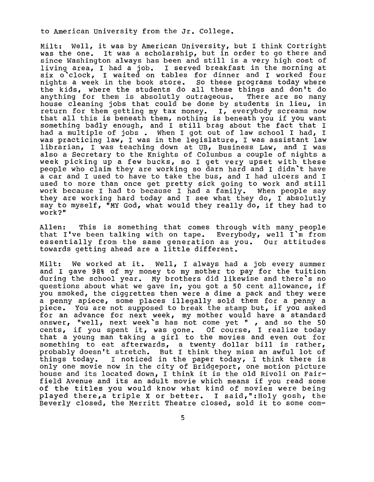to American University from the Jr. College.

Milt: well, it was by American University, but I think Cortright was the one. It was a scholarship, but in order to go there and since Washington always has been and still is a very high cost of living area, I had a job. I served breakfast in the morning at six o'clock, I waited on tables for dinner and I worked four nights a week in the book store. so these programs today where the kids, where the students do all these things and don't do anything for them is absolutly outrageous. There are so many house cleaning jobs that could be done by students in lieu, in return for them getting my tax money. I, everybody screams now that all this is beneath them, nothing is beneath you if you want something badly enough, and I still brag about the fact that I had a multiple of jobs . When I got out of law school I had, I was practicing law, I was in the legislature, I was assistant law librarian, I was teaching down at UB, Business Law, and I was also a Secretary to the Knights of Columbus a couple of nights a week picking up a few bucks, so I get very upset with these people who claim they are working so darn hard and I didn't have a car and I used to have to take the bus, and I had ulcers and I used to more than once get pretty sick going to work and still work because I had to because I had a family. When people say they are working hard today and I see what they do, I absolutly say to myself, "MY God, what would they really do, if they had to work?"

Allen: This is something that comes through with many people that I've been talking with on tape. Everybody, well I'm from essentially from the same generation as you. Our attitudes towards getting ahead are a little different.

Milt: We worked at it. Well, I always had a job every summer and I gave 98% of my money to my mother to pay for the tuition during the school year. My brothers did likewise and there's no questions about what we gave in, you got a 50 cent allowance, if you smoked, the ciggrettes then were a dime a pack and they were a penny apiece, some places illegally sold them for a penny a<br>piece. You are not supposed to break the stamp but, if you asked You are not supposed to break the stamp but, if you asked for an advance for next week, my mother would have a standard answer, "well, next week's has not come yet ", and so the  $50$ answer, well, hext week s has not come yet , and so the 30<br>cents, if you spent it, was gone. Of course, I realize today that a young man taking a girl to the movies and even out for something to eat afterwards, a twenty dollar bill is rather, probably doesn't stretch. But I think they miss an awful lot of things today. I noticed in the paper today, I think there is only one movie now in the city of Bridgeport, one motion picture house and its located down, I think it is the old Rivoli on Fairfield Avenue and its an adult movie which means if you read some of the titles you would know what kind of movies were being played there,a triple X or better. I said,":Holy gosh, the Beverly closed, the Merritt Theatre closed, sold it to some com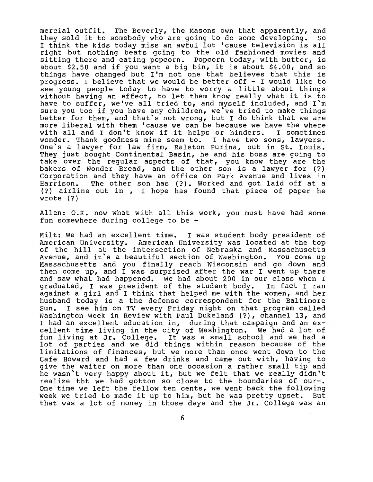mercial outfit. The Beverly, the Masons own that apparently, and<br>they sold it to somebody who are going to do some developing. So they sold it to somebody who are going to do some developing. I think the kids today miss an awful lot 'cause television is all right but nothing beats going to the old fashioned movies and sitting there and eating popcorn. Popcorn today, with butter, is about \$2.50 and if you want a big bin, it is about \$4.00, and so things have changed but I'm not one that believes that this is progress. I believe that we would be better off  $-$  I would like to see young people today to have to worry a little about things see young people could to have to worly a fittle about things<br>without having an effect, to let them know really what it is to have to suffer, we've all tried to, and myself included, and I'm sure you too if you have any children, we ve tried to make things better for them, and that's not wrong, but I do think that we are more liberal with them 'cause we can be because we have the where<br>with all and I don't know if it helps or hinders. I sometimes with all and I don't know if it helps or hinders. wonder. Thank goodness mine seem to. I have two sons, lawyers. One's a lawyer for law firm, Ralston Purina, out in St. Louis. They just bought Continental Basin, he and his boss are going to take over the regular aspects of that, you know they are the bakers of wonder Bread, and the other son is a lawyer for {?) Corporation and they have an office on Park Avenue and lives in<br>Harrison. The other son has (?). Worked and got laid off at a The other son has (?). Worked and got laid off at a {?) airline out in , I hope has found that piece of paper he wrote {?)

Allen: O.K. now what with all this work, you must have had some fun somewhere during college to be -

Milt: we had an excellent time. I was student body president of American University. American University was located at the top of the hill at the intersection of Nebraska and Massachusetts Avenue, and it's a beautiful section of Washington. You come up Massachusetts and you finally reach Wisconsin and go down and then come up, and I was surprised after the war I went up there and saw what had happened. we had about 200 in our class when I graduated, I was president of the student body. In fact I ran graduated, I was president of the student body. In fact I ran<br>against a girl and I think that helped me with the women, and her husband today is a the defense correspondent for the Baltimore<br>Sun. I see him on TV every Friday night on that program called I see him on TV every Friday night on that program called Washington Week in Review with Paul Dukeland (?), channel 13, and I had an excellent education in, during that campaign and an excellent time living in the city of Washington. We had a lot of fun living at Jr. College. It was a small school and we had a lot of parties and we did things within reason because of the limitations of finances, but we more than once went down to the Cafe Howard and had a few drinks and came out with, having to give the waiter on more than one occasion a rather small tip and he wasn't very happy about it, but we felt that we really didn't realize tht we had gotton so close to the boundaries of our-. One time we left the fellow ten cents, we went back the following week we tried to made it up to him, but he was pretty upset. But that was a lot of money in those days and the Jr. College was an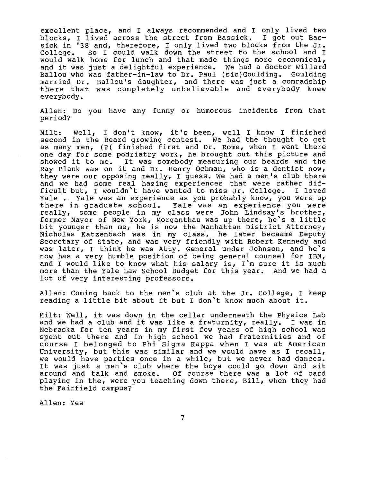excellent place, and I always recommended and I only lived two blocks, I lived across the street from Bassick. I got out Bassick in '38 and, therefore, I only lived two blocks from the Jr.<br>College. So I could walk down the street to the school and I So I could walk down the street to the school and I would walk home for lunch and that made things more economical, and it was just a delightful experience. we had a doctor Willard Ballou who was father-in-law to Dr. Paul (sic)Goulding. Goulding married Dr. Ballou's daughter, and there was just a comradship there that was completely unbelievable and everybody knew everybody.

Allen: Do you have any funny or humorous incidents from that period?

Milt: well, I don't know, it's been, well I know I finished second in the Beard growing contest. We had the thought to get as many men, (?( finished first and Dr. Rome, when I went there one day for some podriatry work, he brought out this picture and showed it to me. It was somebody measuring our beards and the Ray Blank was on it and Dr. Henry Ochman, who is a dentist now, they were our opposing really, I guess. we had a men's club there and we had some real hazing experiences that were rather difficult but, I wouldn't have wanted to miss Jr. College. I loved Yale . Yale was an experience as you probably know, you were up there in graduate school. Yale was an experience you were really, some people in my class were John Lindsay's brother, former Mayor of New York, Morganthau was up there, he's a little bit younger than me, he is now the Manhattan District Attorney, Nicholas Katzenbach was in my class, he later becaame Deputy Secretary of state, and was very friendly with Robert Kennedy and was later, I think he was Atty. General under Johnson, and he's now has a very humble position of being general counsel for IBM, and I would like to know what his salary is, I'm sure it is much more than the Yale Law School Budget for this year. And we had a lot of very interesting professors.

Allen: Coming back to the men's club at the Jr. College, I keep reading a little bit about it but I don't know much about it.

Milt: Well, it was down in the cellar underneath the Physics Lab and we had a club and it was like a fraturnity, really. I was in Nebraska for ten years in my first few years of high school was spent out there and in high school we had fraternities and of course I belonged to Phi Sigma Kappa when I was at American University, but this was similar and we would have as I recall, we would have parties once in a while, but we never had dances. It was just a men's club where the boys could go down and sit around and talk and smoke. Of course there was a lot of card playing in the, were you teaching down there, Bill, when they had the Fairfield campus?

Allen: Yes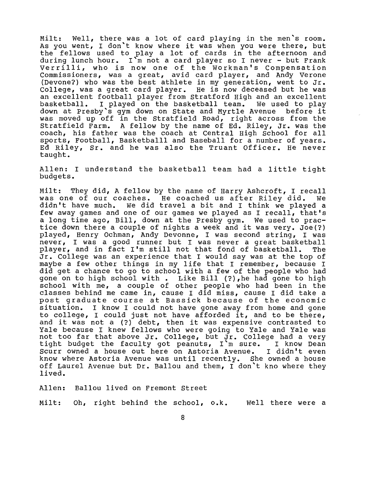Milt: Well, there was a lot of card playing in the men's room. As you went, I don't know where it was when you were there, but the fellows used to play a lot of cards in the afternoon and during lunch hour. I'm not a card player so I never - but Frank Verrilli, who is now one of the Workman's Compensation Commissioners, was a great, avid card player, and Andy Verone (Devone?) who was the best athlete in my generation, went to Jr. College, was a great card player. He is now deceased but he was an excellent football player from Stratford High and an excellent<br>basketball. I played on the basketball team. We used to play I played on the basketball team. We used to play down at Presby's gym down on State and Myrtle Avenue before it was moved up off in the Stratfield Road, right across from the Stratfield Farm. A fellow by the name of Ed. Riley, Jr. was the coach, his father was the coach at Central High School for all sports, Football, Basketballl and Baseball for a number of years. Ed Riley, Sr. and he was also the Truant Officer. He never taught.

Allen: I understand the basketball team had a little tight budgets.

Milt: They did, A fellow by the name of Harry Ashcroft, I recall was one of our coaches. He coached us after Riley did. we didn't have much. we did travel a bit and I think we played a few away games and one of our games we played as I recall, that's a long time ago, Bill, down at the Presby gym. we used to practice down there a couple of nights a week and it was very. Joe(?) played, Henry Ochman, Andy Devonne, I was second string, I was never, I was a good runner but I was never a great basketball<br>plaver, and in fact I'm still not that fond of basketball. The player, and in fact I'm still not that fond of basketball. Jr. College was an experience that I would say was at the top of maybe a few other things in my life that I remember, because I did get a chance to go to school with a few of the people who had gone on to high school with . Like Bill (?), he had gone to high school with me, a couple of other people who had been in the classes behind me came in, cause I did miss, cause I did take a post graduate course at Bassick because of the economic situation. I know I could not have gone away from home and gone to college, I could just not have afforded it, and to be there, and it was not a (?) debt, then it was expensive contrasted to Yale because I knew fellows who were going to Yale and Yale was not too far that above Jr. College, but Jr. College had a very not coo fur that above of. correge, but of. correge had a very scurr owned a house out here on Astoria Avenue. I didn't even know where Astoria Avenue was until recently. She owned a house off Laurel Avenue but Dr. Ballou and them, I don't kno where they lived.

Allen: Ballou lived on Fremont Street

Milt: Oh, right behind the school, o.k. well there were a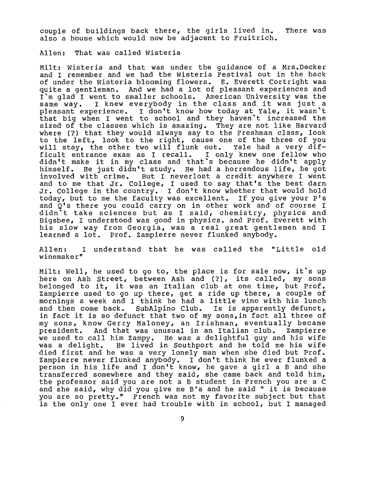couple of buildings back there, the girls lived in. There was also a house which would now be adjacent to Fruitrich.

Allen: That was called Wisteria

Milt: Wisteria and that was under the guidance of a Mrs.Decker and I remember and we had the Wisteria Festival out in the back of under the Wisteria blooming flowers. E. Everett Cortright was quite a gentleman. And we had a lot of pleasant experiences and I'm glad I went to smaller schools. American University was the same way. I knew everybody in the class and it was just a pleasant experience. I don't know how today at Yale, it wasn't that big when I went to school and they haven't increased the sized of the classes which is amazing. They are not like Harvard where (?) that they would always say to the Freshman class, look to the left, look to the right, cause one of the three of you will stay, the other two will flunk out. Yale had a very dif-<br>ficult entrance exam as I recall. I only knew one fellow who ficult entrance exam as I recall. didn't make it in my class and that's because he didn't apply himself. He just didn't study. He had a horrendous life, he got involved with crime. But I neverlost a credit anywhere I went and to me that Jr. College, I used to say that's the best darn Jr. College in the country. I don't know whether that would hold today, but to me the faculty was excellent. If you give your P's and Q's there you could carry on in other work and of course I didn't take sciences but as I said, chemistry, physics and Bigsbee, I understood was good in physics. and Prof. Everett with his slow way from Georgia, was a real great gentlemen and I learned a lot. Prof. Zampierre never flunked anybody.

Allen: I understand that he was called the "Little old winemaker"

Milt: well, he used to go to, the place is for sale now, it's up here on Ash street, between Ash and (?), its called, my sons belonged to it, it was an Italian club at one time, but Prof. zampierre used to go up there, get a ride up there, a couple of mornings a week and I think he had a little vino with his lunch and then come back. SubAlpino Club. Is is apparently defunct, in fact it is so defunct that two of my sons,in fact all three of my sons, know Gerry Maloney, an Irishman, eventually became And that was unusual in an Italian club. we used to call him Zampy. He was a delightful guy and his wife He lived in Southport and he told me his wife died first and he was a very lonely man when she died but Prof. Zampierre never flunked anybody. I don't think he ever flunked a person in his life and I don't know, he gave a girl a B and she transferred somewhere and they said, she came back and told him, the professor said you are not a B student in French you are a C and she said, why did you give me B's and he said " it is because you are so pretty." French was not my favorite subject but that is the only one I ever had trouble with in school, but I managed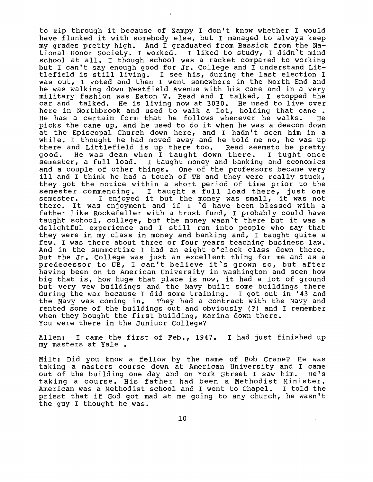to zip through it because of Zampy I don't know whether I would have flunked it with somebody else, but I managed to always keep my grades pretty high. And I graduated from Bassick from the National Honor society. I worked. I liked to study, I didn't mind school at all. I though school was a racket compared to working but I can't say enough good for Jr. College and I understand Littlefield is still living. I see his, during the last election I was out, I voted and then I went somewhere in the North End and he was walking down Westfield Avenue with his cane and in a very military fashion was Eaton V. Read and I talked, I stopped the<br>car and talked. He is living now at 3030. He used to live over He is living now at 3030. He used to live over here in Northbrook and used to walk a lot, holding that cane.<br>He has a certain form that he follows whenever he walks. He He has a certain form that he follows whenever he walks. picks the cane up, and he used to do it when he was a deacon down at the Episcopal Church down here, and I hadn't seen him in a while. I thought he had moved away and he told me no, he was up while. I enought he had moved away and he cold me hop he was apgood. He was dean when I taught down there. I tught once semester, a full load. I taught money and banking and economics and a couple of other things. One of the professors became very ill and I think he had a touch of TB and they were really stuck, they got the notice within a short period of time prior to the semester commencing. I taught a full load there, just one<br>semester. I enjoyed it but the money was small, it was not I enjoyed it but the money was small, it was not there. It was enjoyment and if I 'd have been blessed with a father like Rockefeller with a trust fund, I probably could have taught school, college, but the money wasn't there but it was a caught school, college, but the money wash t there but it was a<br>delightful experience and I still run into people who say that they were in my class in money and banking and, I taught quite a few. I was there about three or four years teaching business law. And in the summertime I had an eight o'clock class down there. But the Jr. College was just an excellent thing for me and as a predecessor to UB, I can't believe it's grown so, but after having been on to American University in Washington and seen how big that is, how huge that place is now, it had a lot of ground but very vew buildings and the Navy built some buildings there during the war because I did some training. I got out in '43 and<br>the Navy was coming in. They had a contract with the Navy and They had a contract with the Navy and rented some of the buildings out and obviously (?) and I remember when they bought the first building, Marina down there. You were there in the Juniuor College?

Allen: I came the first of Feb., 1947. I had just finished up my masters at Yale.

Milt: Did you know a fellow by the name of Bob Crane? He was taking a masters course down at American University and I came<br>out of the building one day and on York Street I saw him. He's out of the building one day and on York Street I saw him. taking a course. His father had been a Methodist Minister. American was a Methodist school and I went to Chapel. priest that if God got mad at me going to any church, he wasn't the guy I thought he was.